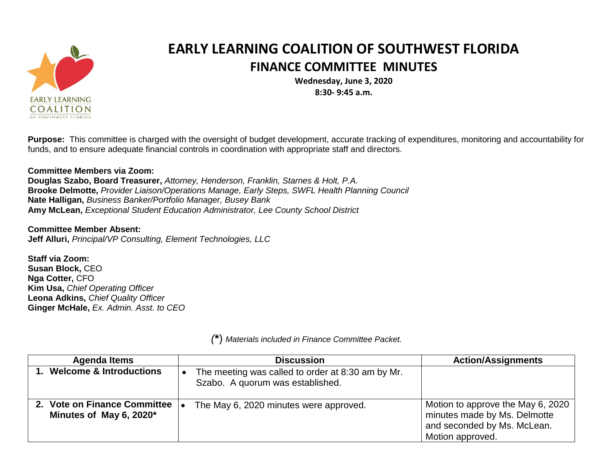

## **EARLY LEARNING COALITION OF SOUTHWEST FLORIDA FINANCE COMMITTEE MINUTES**

**Wednesday, June 3, 2020 8:30- 9:45 a.m.**

**Purpose:** This committee is charged with the oversight of budget development, accurate tracking of expenditures, monitoring and accountability for funds, and to ensure adequate financial controls in coordination with appropriate staff and directors.

## **Committee Members via Zoom:**

**Douglas Szabo, Board Treasurer,** *Attorney, Henderson, Franklin, Starnes & Holt, P.A.* **Brooke Delmotte,** *Provider Liaison/Operations Manage, Early Steps, SWFL Health Planning Council* **Nate Halligan,** *Business Banker/Portfolio Manager, Busey Bank* **Amy McLean,** *Exceptional Student Education Administrator, Lee County School District*

**Committee Member Absent: Jeff Alluri,** *Principal/VP Consulting, Element Technologies, LLC*

**Staff via Zoom: Susan Block,** CEO **Nga Cotter,** CFO **Kim Usa,** *Chief Operating Officer* **Leona Adkins,** *Chief Quality Officer* **Ginger McHale,** *Ex. Admin. Asst. to CEO*

| <b>Agenda Items</b>                                     | <b>Discussion</b>                                                                     | <b>Action/Assignments</b>                                                                                            |
|---------------------------------------------------------|---------------------------------------------------------------------------------------|----------------------------------------------------------------------------------------------------------------------|
| 1. Welcome & Introductions                              | The meeting was called to order at 8:30 am by Mr.<br>Szabo. A quorum was established. |                                                                                                                      |
| 2. Vote on Finance Committee<br>Minutes of May 6, 2020* | The May 6, 2020 minutes were approved.                                                | Motion to approve the May 6, 2020<br>minutes made by Ms. Delmotte<br>and seconded by Ms. McLean.<br>Motion approved. |

*(***\***) *Materials included in Finance Committee Packet.*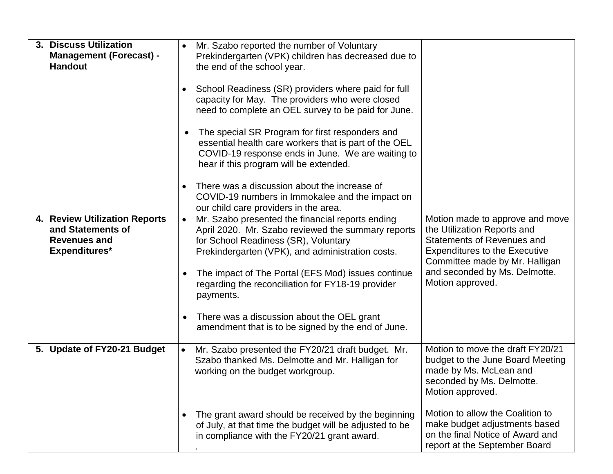| 3. Discuss Utilization<br><b>Management (Forecast) -</b><br><b>Handout</b>                        | Mr. Szabo reported the number of Voluntary<br>Prekindergarten (VPK) children has decreased due to<br>the end of the school year.<br>School Readiness (SR) providers where paid for full<br>٠<br>capacity for May. The providers who were closed<br>need to complete an OEL survey to be paid for June.<br>The special SR Program for first responders and<br>$\bullet$<br>essential health care workers that is part of the OEL<br>COVID-19 response ends in June. We are waiting to<br>hear if this program will be extended. |                                                                                                                                                                                                                                    |
|---------------------------------------------------------------------------------------------------|--------------------------------------------------------------------------------------------------------------------------------------------------------------------------------------------------------------------------------------------------------------------------------------------------------------------------------------------------------------------------------------------------------------------------------------------------------------------------------------------------------------------------------|------------------------------------------------------------------------------------------------------------------------------------------------------------------------------------------------------------------------------------|
| 4. Review Utilization Reports<br>and Statements of<br><b>Revenues and</b><br><b>Expenditures*</b> | There was a discussion about the increase of<br>$\bullet$<br>COVID-19 numbers in Immokalee and the impact on<br>our child care providers in the area.<br>Mr. Szabo presented the financial reports ending<br>$\bullet$<br>April 2020. Mr. Szabo reviewed the summary reports<br>for School Readiness (SR), Voluntary<br>Prekindergarten (VPK), and administration costs.<br>The impact of The Portal (EFS Mod) issues continue<br>regarding the reconciliation for FY18-19 provider<br>payments.                               | Motion made to approve and move<br>the Utilization Reports and<br><b>Statements of Revenues and</b><br><b>Expenditures to the Executive</b><br>Committee made by Mr. Halligan<br>and seconded by Ms. Delmotte.<br>Motion approved. |
|                                                                                                   | There was a discussion about the OEL grant<br>$\bullet$<br>amendment that is to be signed by the end of June.                                                                                                                                                                                                                                                                                                                                                                                                                  |                                                                                                                                                                                                                                    |
| 5. Update of FY20-21 Budget                                                                       | Mr. Szabo presented the FY20/21 draft budget. Mr.<br>Szabo thanked Ms. Delmotte and Mr. Halligan for<br>working on the budget workgroup.                                                                                                                                                                                                                                                                                                                                                                                       | Motion to move the draft FY20/21<br>budget to the June Board Meeting<br>made by Ms. McLean and<br>seconded by Ms. Delmotte.<br>Motion approved.                                                                                    |
|                                                                                                   | The grant award should be received by the beginning<br>$\bullet$<br>of July, at that time the budget will be adjusted to be<br>in compliance with the FY20/21 grant award.                                                                                                                                                                                                                                                                                                                                                     | Motion to allow the Coalition to<br>make budget adjustments based<br>on the final Notice of Award and<br>report at the September Board                                                                                             |